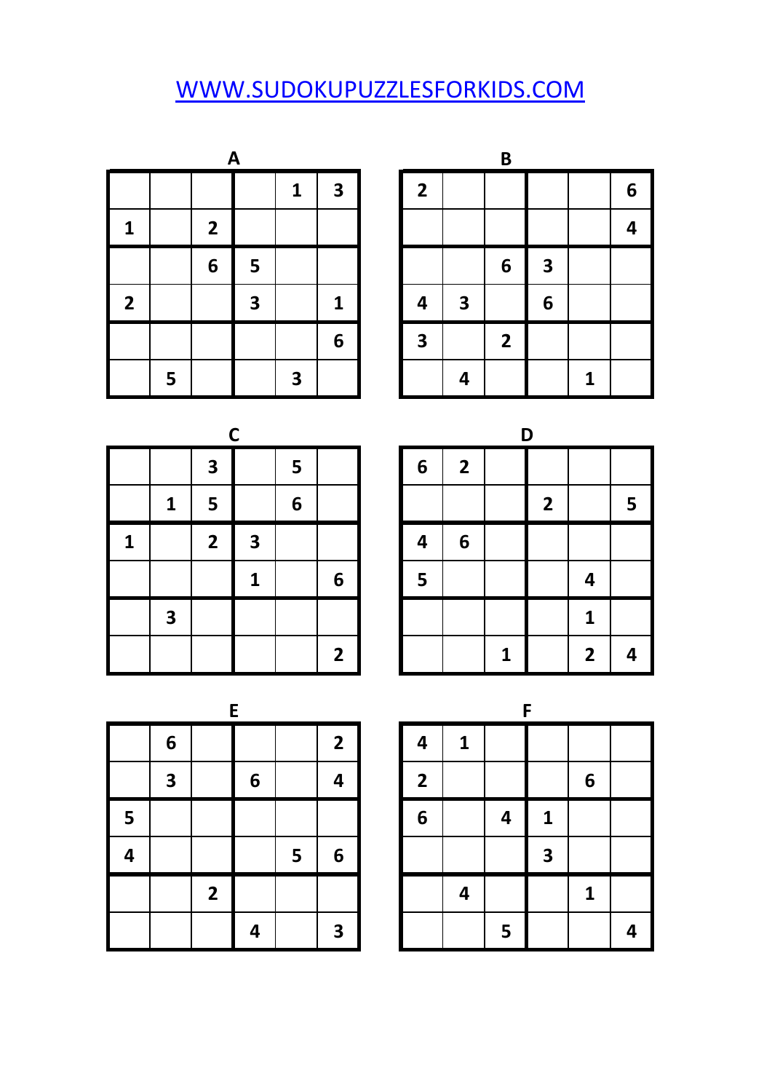## [W](http://www.sudokupuzzlesforkids.com/)WW.SUDOKUPUZZLESFORKIDS.COM

| A<br>$\mathbf{3}$<br>1 |   |                |   |   |   |  |                |                         | $\mathbf B$    |                         |   |   |
|------------------------|---|----------------|---|---|---|--|----------------|-------------------------|----------------|-------------------------|---|---|
|                        |   |                |   |   |   |  | $\overline{2}$ |                         |                |                         |   | 6 |
| п                      |   | $\overline{2}$ |   |   |   |  |                |                         |                |                         |   | 4 |
|                        |   | 6              | 5 |   |   |  |                |                         | 6              | $\overline{\mathbf{3}}$ |   |   |
| $\overline{2}$         |   |                | 3 |   | 1 |  | 4              | $\overline{\mathbf{3}}$ |                | $6\phantom{1}6$         |   |   |
|                        |   |                |   |   | 6 |  | 3              |                         | $\overline{2}$ |                         |   |   |
|                        | 5 |                |   | 3 |   |  |                | 4                       |                |                         | 1 |   |

|   |                         |                         |                         | B                       |                         |   |   |
|---|-------------------------|-------------------------|-------------------------|-------------------------|-------------------------|---|---|
| 1 | $\overline{\mathbf{3}}$ | $\overline{\mathbf{2}}$ |                         |                         |                         |   | 6 |
|   |                         |                         |                         |                         |                         |   | 4 |
|   |                         |                         |                         | 6                       | $\overline{\mathbf{3}}$ |   |   |
|   | $\mathbf{1}$            | 4                       | $\overline{\mathbf{3}}$ |                         | $6\phantom{1}6$         |   |   |
|   | $6\phantom{1}6$         | $\overline{\mathbf{3}}$ |                         | $\overline{\mathbf{2}}$ |                         |   |   |
| 3 |                         |                         | $\overline{\mathbf{r}}$ |                         |                         | 1 |   |

|   |                         |                         | $\mathbf C$             |   |                         |                 |                         |
|---|-------------------------|-------------------------|-------------------------|---|-------------------------|-----------------|-------------------------|
|   |                         | $\overline{\mathbf{3}}$ |                         | 5 |                         | $6\phantom{1}6$ | $\overline{\mathbf{c}}$ |
|   | $\mathbf{1}$            | 5                       |                         | 6 |                         |                 |                         |
| 1 |                         | $\overline{\mathbf{2}}$ | $\overline{\mathbf{3}}$ |   |                         | 4               | 6                       |
|   |                         |                         | 1                       |   | 6                       | 5               |                         |
|   | $\overline{\mathbf{3}}$ |                         |                         |   |                         |                 |                         |
|   |                         |                         |                         |   | $\overline{\mathbf{2}}$ |                 |                         |

|              |                         | r                       |   |                | ח<br>$6\phantom{1}6$<br>$\overline{\mathbf{2}}$<br>$\overline{2}$<br>6<br>4<br>5<br>4 |  |   |  |                |   |
|--------------|-------------------------|-------------------------|---|----------------|---------------------------------------------------------------------------------------|--|---|--|----------------|---|
|              | $\overline{\mathbf{3}}$ |                         | 5 |                |                                                                                       |  |   |  |                |   |
| $\mathbf{1}$ | 5                       |                         | 6 |                |                                                                                       |  |   |  |                | 5 |
|              | $\overline{\mathbf{2}}$ | $\overline{\mathbf{3}}$ |   |                |                                                                                       |  |   |  |                |   |
|              |                         | 1                       |   | 6              |                                                                                       |  |   |  |                |   |
| 3            |                         |                         |   |                |                                                                                       |  |   |  | 1              |   |
|              |                         |                         |   | $\overline{2}$ |                                                                                       |  | 1 |  | $\overline{2}$ | 4 |

|   |   |                         | E |   |                 |                |   |   | F                       |   |
|---|---|-------------------------|---|---|-----------------|----------------|---|---|-------------------------|---|
|   | 6 |                         |   |   | $\overline{2}$  | 4              | 1 |   |                         |   |
|   | 3 |                         | 6 |   | 4               | $\overline{2}$ |   |   |                         | 6 |
| 5 |   |                         |   |   |                 | 6              |   | 4 | 1                       |   |
| 4 |   |                         |   | 5 | $6\phantom{1}6$ |                |   |   | $\overline{\mathbf{3}}$ |   |
|   |   | $\overline{\mathbf{2}}$ |   |   |                 |                | 4 |   |                         | 1 |
|   |   |                         | 4 |   | 3               |                |   | 5 |                         |   |

|                         | E |   |                         |                         |   |   | F                       |   |  |
|-------------------------|---|---|-------------------------|-------------------------|---|---|-------------------------|---|--|
|                         |   |   | $\mathbf{2}$            | 4                       | 1 |   |                         |   |  |
|                         | 6 |   | 4                       | $\overline{\mathbf{2}}$ |   |   |                         | 6 |  |
|                         |   |   |                         | 6                       |   | 4 | $\mathbf{1}$            |   |  |
|                         |   | 5 | 6                       |                         |   |   | $\overline{\mathbf{3}}$ |   |  |
| $\overline{\mathbf{2}}$ |   |   |                         |                         | 4 |   |                         | 1 |  |
|                         | 4 |   | $\overline{\mathbf{3}}$ |                         |   | 5 |                         |   |  |